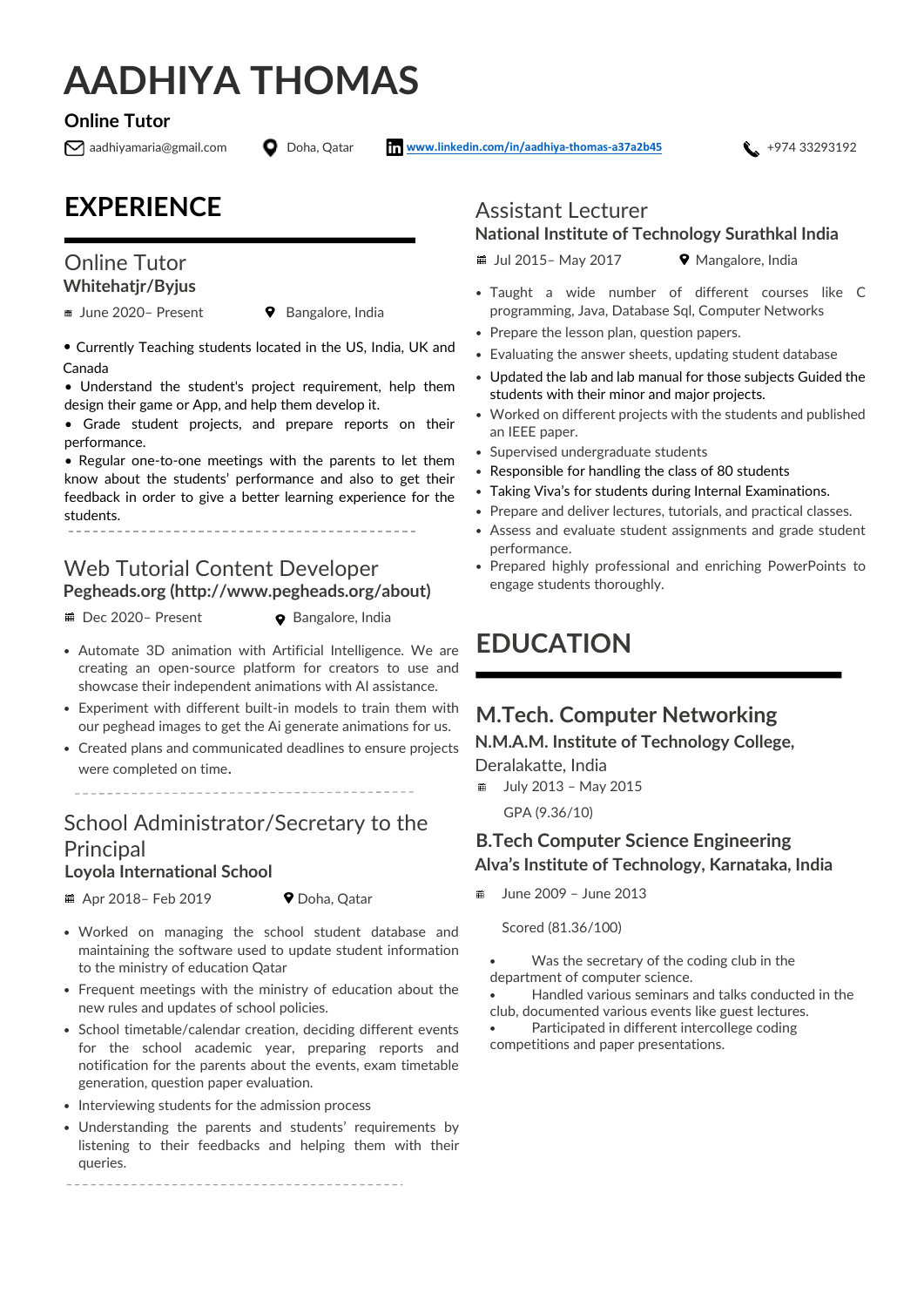# **AADHIYA THOMAS**

#### **Online Tutor**

aadhiyamaria@gmail.com Doha, Qatar **[www.linkedin.com/in/aadhiya-thomas-a37a2b45](http://www.linkedin.com/in/aadhiya-thomas-a37a2b45)** +974 33293192

### **EXPERIENCE**

#### Online Tutor **Whitehatjr/Byjus**

■ June 2020- Present <br>
9 Bangalore, India

• Currently Teaching students located in the US, India, UK and Canada

• Understand the student's project requirement, help them design their game or App, and help them develop it.

• Grade student projects, and prepare reports on their performance.

• Regular one-to-one meetings with the parents to let them know about the students' performance and also to get their feedback in order to give a better learning experience for the students.

#### Web Tutorial Content Developer **Pegheads.org (http://www.pegheads.org/about)**

■ Dec 2020- Present ● Bangalore, India

- Automate 3D animation with Artificial Intelligence. We are creating an open-source platform for creators to use and showcase their independent animations with AI assistance.
- Experiment with different built-in models to train them with our peghead images to get the Ai generate animations for us.
- Created plans and communicated deadlines to ensure projects were completed on time.

### School Administrator/Secretary to the **Principal**

#### **Loyola International School**

Apr 2018– Feb 2019 Doha, Qatar

- Worked on managing the school student database and maintaining the software used to update student information to the ministry of education Qatar
- Frequent meetings with the ministry of education about the new rules and updates of school policies.
- School timetable/calendar creation, deciding different events for the school academic year, preparing reports and notification for the parents about the events, exam timetable generation, question paper evaluation.
- Interviewing students for the admission process
- Understanding the parents and students' requirements by listening to their feedbacks and helping them with their queries.

#### Assistant Lecturer **National Institute of Technology Surathkal India**

 $\#$  Jul 2015– May 2017  $\Diamond$  Mangalore, India

- Taught a wide number of different courses like C programming, Java, Database Sql, Computer Networks
- Prepare the lesson plan, question papers.
- Evaluating the answer sheets, updating student database
- Updated the lab and lab manual for those subjects Guided the students with their minor and major projects.
- Worked on different projects with the students and published an IEEE paper.
- Supervised undergraduate students
- Responsible for handling the class of 80 students
- Taking Viva's for students during Internal Examinations.
- Prepare and deliver lectures, tutorials, and practical classes.
- Assess and evaluate student assignments and grade student performance.
- Prepared highly professional and enriching PowerPoints to engage students thoroughly.

## **EDUCATION**

### **M.Tech. Computer Networking**

**N.M.A.M. Institute of Technology College,** 

Deralakatte, India

July 2013 – May 2015 羀 GPA (9.36/10)

#### **B.Tech Computer Science Engineering Alva's Institute of Technology, Karnataka, India**

June 2009 – June 2013

Scored (81.36/100)

Was the secretary of the coding club in the department of computer science.

• Handled various seminars and talks conducted in the club, documented various events like guest lectures.

Participated in different intercollege coding competitions and paper presentations.